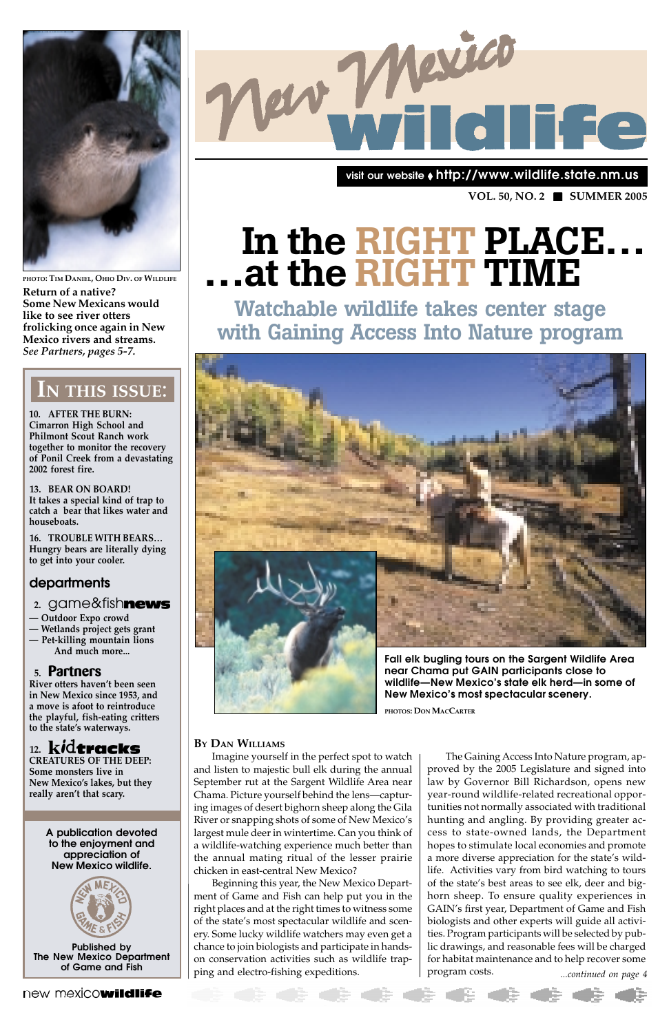

**PHOTO: TIM DANIEL, OHIO DIV. OF WILDLIFE Return of a native? Some New Mexicans would like to see river otters frolicking once again in New Mexico rivers and streams.** *See Partners, pages 5-7.*

**10. AFTER THE BURN: Cimarron High School and Philmont Scout Ranch work together to monitor the recovery of Ponil Creek from a devastating 2002 forest fire.**

**13. BEAR ON BOARD! It takes a special kind of trap to catch a bear that likes water and houseboats.**

**16. TROUBLE WITH BEARS… Hungry bears are literally dying to get into your cooler.**

## **departments**

- **Outdoor Expo crowd**
- **Wetlands project gets grant — Pet-killing mountain lions**
- **And much more...**

### **5. Partners**

**River otters haven't been seen in New Mexico since 1953, and a move is afoot to reintroduce the playful, fish-eating critters to the state's waterways.**

## 12. kidtracks



**CREATURES OF THE DEEP: Some monsters live in New Mexico's lakes, but they really aren't that scary.**

## **IN THIS ISSUE**:

**A publication devoted to the enjoyment and appreciation of New Mexico wildlife.**



**Published by The New Mexico Department of Game and Fish**

new mexicowildlife

**VOL. 50, NO. 2** ■ **SUMMER 2005**

**visit our website** ◆ **http://www.wildlife.state.nm.us**

#### **BY DAN WILLIAMS**

#### **2.** game&fish

and listen to majestic bull elk during the annual September rut at the Sargent Wildlife Area near Chama. Picture yourself behind the lens—capturing images of desert bighorn sheep along the Gila River or snapping shots of some of New Mexico's largest mule deer in wintertime. Can you think of a wildlife-watching experience much better than the annual mating ritual of the lesser prairie chicken in east-central New Mexico? Beginning this year, the New Mexico Department of Game and Fish can help put you in the right places and at the right times to witness some of the state's most spectacular wildlife and scenery. Some lucky wildlife watchers may even get a chance to join biologists and participate in handson conservation activities such as wildlife trapping and electro-fishing expeditions.



**near Chama put GAIN participants close to wildlife—New Mexico's state elk herd—in some of New Mexico's most spectacular scenery.**

*...continued on page 4* Imagine yourself in the perfect spot to watch The Gaining Access Into Nature program, approved by the 2005 Legislature and signed into law by Governor Bill Richardson, opens new year-round wildlife-related recreational opportunities not normally associated with traditional hunting and angling. By providing greater access to state-owned lands, the Department hopes to stimulate local economies and promote a more diverse appreciation for the state's wildlife. Activities vary from bird watching to tours of the state's best areas to see elk, deer and bighorn sheep. To ensure quality experiences in GAIN's first year, Department of Game and Fish biologists and other experts will guide all activities. Program participants will be selected by public drawings, and reasonable fees will be charged for habitat maintenance and to help recover some program costs.

6 <del>4</del> 4

**PHOTOS: DON MACCARTER**

## **In the RIGHT PLACE… …at the RIGHT TIME**

**Watchable wildlife takes center stage with Gaining Access Into Nature program**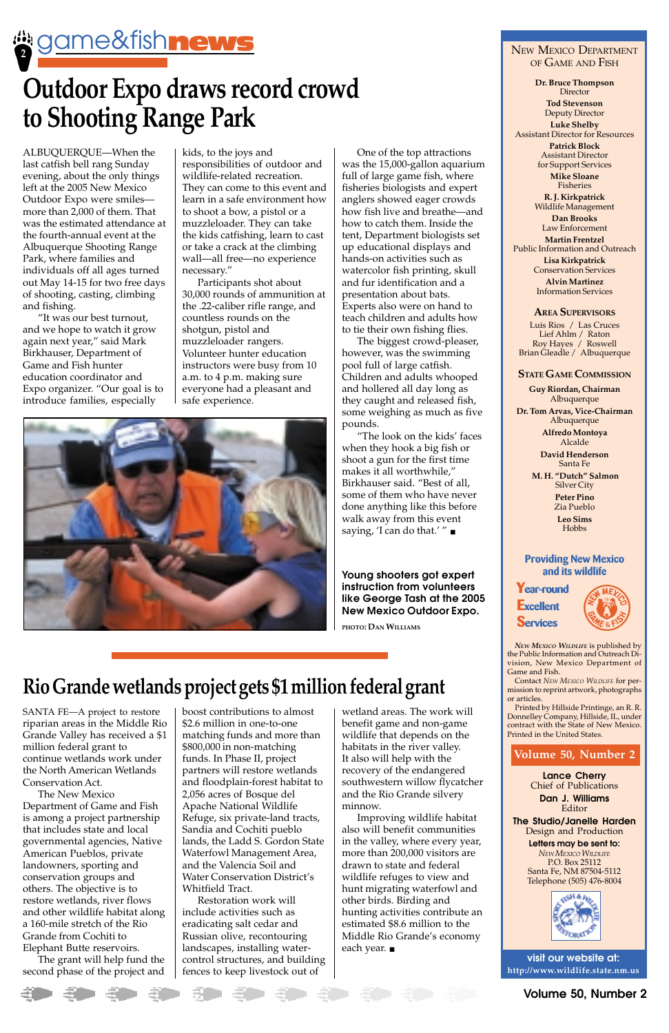ALBUQUERQUE—When the last catfish bell rang Sunday evening, about the only things left at the 2005 New Mexico Outdoor Expo were smiles more than 2,000 of them. That was the estimated attendance at the fourth-annual event at the Albuquerque Shooting Range Park, where families and individuals off all ages turned out May 14-15 for two free days of shooting, casting, climbing and fishing.

"It was our best turnout, and we hope to watch it grow again next year," said Mark Birkhauser, Department of Game and Fish hunter education coordinator and Expo organizer. "Our goal is to introduce families, especially

kids, to the joys and responsibilities of outdoor and wildlife-related recreation. They can come to this event and learn in a safe environment how to shoot a bow, a pistol or a muzzleloader. They can take the kids catfishing, learn to cast or take a crack at the climbing wall—all free—no experience necessary."

**Dr. Bruce Thompson Director** 

Participants shot about 30,000 rounds of ammunition at the .22-caliber rifle range, and countless rounds on the shotgun, pistol and muzzleloader rangers. Volunteer hunter education instructors were busy from 10 a.m. to 4 p.m. making sure everyone had a pleasant and safe experience.



SANTA FE—A project to restore riparian areas in the Middle Rio Grande Valley has received a \$1 million federal grant to continue wetlands work under the North American Wetlands Conservation Act. The New Mexico Department of Game and Fish is among a project partnership that includes state and local governmental agencies, Native American Pueblos, private landowners, sporting and conservation groups and others. The objective is to restore wetlands, river flows and other wildlife habitat along a 160-mile stretch of the Rio Grande from Cochiti to Elephant Butte reservoirs. The grant will help fund the second phase of the project and

◆ ◆ →

## NEW MEXICO DEPARTMENT OF GAME AND FISH

**Tod Stevenson** Deputy Director **Luke Shelby** Assistant Director for Resources **Patrick Block** Assistant Director for Support Services **Mike Sloane** Fisheries

**R. J. Kirkpatrick** Wildlife Management

**Dan Brooks** Law Enforcement **Martin Frentzel** Public Information and Outreach

**Lisa Kirkpatrick** Conservation Services **Alvin Martinez** Information Services

#### **AREA SUPERVISORS**

Luis Rios / Las Cruces Lief Ahlm / Raton Roy Hayes / Roswell Brian Gleadle / Albuquerque

#### **STATE GAME COMMISSION**

**Guy Riordan, Chairman** Albuquerque

**Dr. Tom Arvas, Vice-Chairman** Albuquerque

**Alfredo Montoya** Alcalde

**David Henderson** Santa Fe

 **M. H. "Dutch" Salmon** Silver City

**Peter Pino** Zia Pueblo

**Leo Sims** Hobbs

#### **Providing New Mexico and its wildlife**

**Year-round Excellent Services**



*NEW MEXICO WILDLIFE* is published by the Public Information and Outreach Division, New Mexico Department of Game and Fish.

Contact *NEW MEXICO WILDLIFE* for permission to reprint artwork, photographs or articles.

Printed by Hillside Printinge, an R. R. Donnelley Company, Hillside, IL, under contract with the State of New Mexico. Printed in the United States.

#### **Volume 50, Number 2**

**Lance Cherry** Chief of Publications **Dan J. Williams** Editor **The Studio/Janelle Harden** Design and Production **Letters may be sent to:** *NEW MEXICO WILDLIFE* P.O. Box 25112 Santa Fe, NM 87504-5112 Telephone (505) 476-8004



**visit our website at: http://www.wildlife.state.nm.us**

One of the top attractions was the 15,000-gallon aquarium full of large game fish, where fisheries biologists and expert anglers showed eager crowds how fish live and breathe—and how to catch them. Inside the tent, Department biologists set up educational displays and hands-on activities such as watercolor fish printing, skull and fur identification and a presentation about bats. Experts also were on hand to teach children and adults how to tie their own fishing flies.

The biggest crowd-pleaser, however, was the swimming pool full of large catfish. Children and adults whooped and hollered all day long as they caught and released fish, some weighing as much as five pounds.

"The look on the kids' faces when they hook a big fish or shoot a gun for the first time makes it all worthwhile," Birkhauser said. "Best of all, some of them who have never done anything like this before walk away from this event saying, 'I can do that.' " ■

boost contributions to almost \$2.6 million in one-to-one matching funds and more than \$800,000 in non-matching funds. In Phase II, project partners will restore wetlands and floodplain-forest habitat to 2,056 acres of Bosque del Apache National Wildlife Refuge, six private-land tracts, Sandia and Cochiti pueblo lands, the Ladd S. Gordon State Waterfowl Management Area, and the Valencia Soil and Water Conservation District's Whitfield Tract. Restoration work will include activities such as eradicating salt cedar and Russian olive, recontouring landscapes, installing watercontrol structures, and building fences to keep livestock out of

wetland areas. The work will benefit game and non-game wildlife that depends on the habitats in the river valley. It also will help with the recovery of the endangered southwestern willow flycatcher and the Rio Grande silvery minnow. Improving wildlife habitat also will benefit communities in the valley, where every year, more than 200,000 visitors are drawn to state and federal wildlife refuges to view and hunt migrating waterfowl and other birds. Birding and hunting activities contribute an estimated \$8.6 million to the Middle Rio Grande's economy each year. ■

## **Rio Grande wetlands project gets \$1 million federal grant**

**2** game&fish news

## **Outdoor Expo draws record crowd to Shooting Range Park**

**Young shooters got expert instruction from volunteers like George Tash at the 2005 New Mexico Outdoor Expo.**

**PHOTO: DAN WILLIAMS**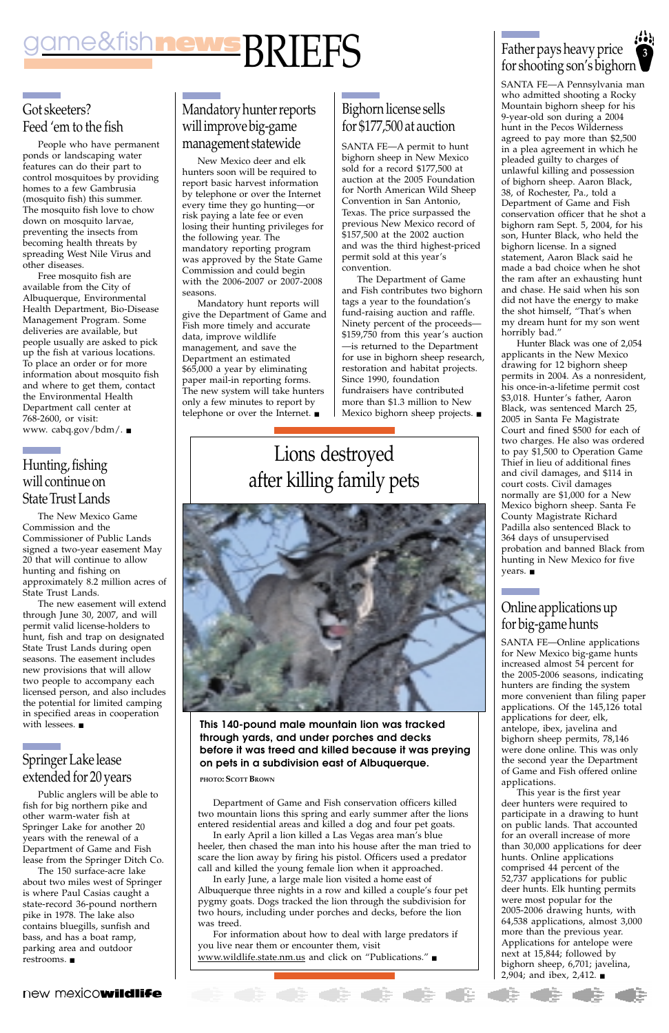## Got skeeters? Feed 'em to the fish

People who have permanent ponds or landscaping water features can do their part to control mosquitoes by providing homes to a few Gambrusia (mosquito fish) this summer. The mosquito fish love to chow down on mosquito larvae, preventing the insects from becoming health threats by spreading West Nile Virus and other diseases.

Free mosquito fish are available from the City of Albuquerque, Environmental Health Department, Bio-Disease Management Program. Some deliveries are available, but people usually are asked to pick up the fish at various locations. To place an order or for more information about mosquito fish and where to get them, contact the Environmental Health Department call center at 768-2600, or visit: www. cabq.gov/bdm/. ■

## Hunting, fishing will continue on State Trust Lands

The New Mexico Game Commission and the Commissioner of Public Lands signed a two-year easement May 20 that will continue to allow hunting and fishing on approximately 8.2 million acres of State Trust Lands.

The new easement will extend through June 30, 2007, and will permit valid license-holders to hunt, fish and trap on designated State Trust Lands during open seasons. The easement includes new provisions that will allow two people to accompany each licensed person, and also includes the potential for limited camping in specified areas in cooperation with lessees. ■

## **3** for shooting son's bighorn

## Springer Lake lease extended for 20 years

Public anglers will be able to fish for big northern pike and other warm-water fish at Springer Lake for another 20 years with the renewal of a Department of Game and Fish lease from the Springer Ditch Co.

The 150 surface-acre lake about two miles west of Springer is where Paul Casias caught a state-record 36-pound northern pike in 1978. The lake also contains bluegills, sunfish and bass, and has a boat ramp, parking area and outdoor restrooms. ■

#### new mexicowildlife

## Mandatory hunter reports will improve big-game management statewide

New Mexico deer and elk hunters soon will be required to report basic harvest information by telephone or over the Internet every time they go hunting—or risk paying a late fee or even losing their hunting privileges for the following year. The mandatory reporting program was approved by the State Game Commission and could begin with the 2006-2007 or 2007-2008 seasons.

## game&fish news RRIFFS Father pays heavy price BRIEFS

Mandatory hunt reports will give the Department of Game and Fish more timely and accurate data, improve wildlife management, and save the Department an estimated \$65,000 a year by eliminating paper mail-in reporting forms. The new system will take hunters only a few minutes to report by telephone or over the Internet. ■

SANTA FE—A Pennsylvania man who admitted shooting a Rocky Mountain bighorn sheep for his 9-year-old son during a 2004 hunt in the Pecos Wilderness agreed to pay more than \$2,500 in a plea agreement in which he pleaded guilty to charges of unlawful killing and possession of bighorn sheep. Aaron Black, 38, of Rochester, Pa., told a Department of Game and Fish conservation officer that he shot a bighorn ram Sept. 5, 2004, for his son, Hunter Black, who held the bighorn license. In a signed statement, Aaron Black said he made a bad choice when he shot the ram after an exhausting hunt and chase. He said when his son did not have the energy to make the shot himself, "That's when my dream hunt for my son went horribly bad."

Hunter Black was one of 2,054 applicants in the New Mexico drawing for 12 bighorn sheep permits in 2004. As a nonresident, his once-in-a-lifetime permit cost \$3,018. Hunter's father, Aaron Black, was sentenced March 25, 2005 in Santa Fe Magistrate Court and fined \$500 for each of two charges. He also was ordered to pay \$1,500 to Operation Game Thief in lieu of additional fines and civil damages, and \$114 in court costs. Civil damages normally are \$1,000 for a New Mexico bighorn sheep. Santa Fe County Magistrate Richard Padilla also sentenced Black to 364 days of unsupervised probation and banned Black from hunting in New Mexico for five years. ■

Department of Game and Fish conservation officers killed two mountain lions this spring and early summer after the lions entered residential areas and killed a dog and four pet goats. In early April a lion killed a Las Vegas area man's blue heeler, then chased the man into his house after the man tried to scare the lion away by firing his pistol. Officers used a predator call and killed the young female lion when it approached.

In early June, a large male lion visited a home east of Albuquerque three nights in a row and killed a couple's four pet pygmy goats. Dogs tracked the lion through the subdivision for two hours, including under porches and decks, before the lion was treed.

For information about how to deal with large predators if you live near them or encounter them, visit www.wildlife.state.nm.us and click on "Publications." ■

**This 140-pound male mountain lion was tracked through yards, and under porches and decks before it was treed and killed because it was preying**

#### **on pets in a subdivision east of Albuquerque.**

**PHOTO: SCOTT BROWN**

## Bighorn license sells for \$177,500 at auction

SANTA FE—A permit to hunt bighorn sheep in New Mexico sold for a record \$177,500 at auction at the 2005 Foundation for North American Wild Sheep Convention in San Antonio, Texas. The price surpassed the previous New Mexico record of \$157,500 at the 2002 auction and was the third highest-priced permit sold at this year's convention.

The Department of Game and Fish contributes two bighorn tags a year to the foundation's fund-raising auction and raffle. Ninety percent of the proceeds— \$159,750 from this year's auction —is returned to the Department for use in bighorn sheep research, restoration and habitat projects. Since 1990, foundation fundraisers have contributed more than \$1.3 million to New Mexico bighorn sheep projects. ■

## Online applications up for big-game hunts

SANTA FE—Online applications for New Mexico big-game hunts increased almost 54 percent for the 2005-2006 seasons, indicating hunters are finding the system more convenient than filing paper applications. Of the 145,126 total applications for deer, elk, antelope, ibex, javelina and bighorn sheep permits, 78,146 were done online. This was only the second year the Department of Game and Fish offered online applications. This year is the first year deer hunters were required to participate in a drawing to hunt on public lands. That accounted for an overall increase of more than 30,000 applications for deer hunts. Online applications comprised 44 percent of the 52,737 applications for public deer hunts. Elk hunting permits were most popular for the 2005-2006 drawing hunts, with 64,538 applications, almost 3,000 more than the previous year. Applications for antelope were next at 15,844; followed by bighorn sheep, 6,701; javelina, 2,904; and ibex, 2,412. ■

de de

## Lions destroyed after killing family pets

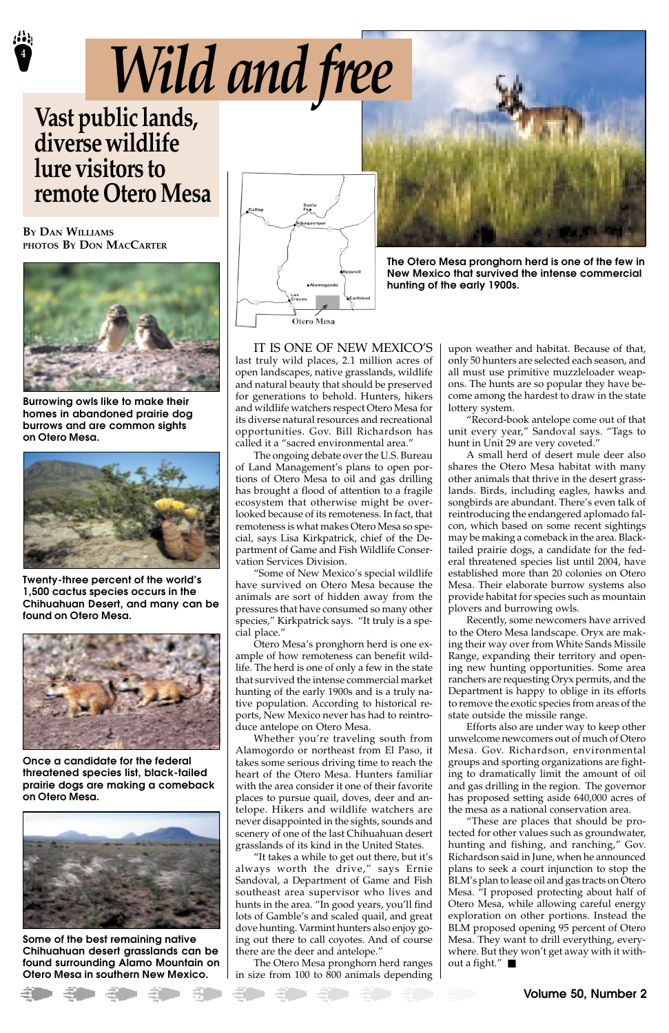**4**

IT IS ONE OF NEW MEXICO'S last truly wild places, 2.1 million acres of open landscapes, native grasslands, wildlife and natural beauty that should be preserved for generations to behold. Hunters, hikers and wildlife watchers respect Otero Mesa for its diverse natural resources and recreational opportunities. Gov. Bill Richardson has called it a "sacred environmental area."

The ongoing debate over the U.S. Bureau of Land Management's plans to open portions of Otero Mesa to oil and gas drilling has brought a flood of attention to a fragile ecosystem that otherwise might be overlooked because of its remoteness. In fact, that remoteness is what makes Otero Mesa so special, says Lisa Kirkpatrick, chief of the Department of Game and Fish Wildlife Conservation Services Division.

"Some of New Mexico's special wildlife have survived on Otero Mesa because the animals are sort of hidden away from the pressures that have consumed so many other species," Kirkpatrick says. "It truly is a special place."

Otero Mesa's pronghorn herd is one example of how remoteness can benefit wildlife. The herd is one of only a few in the state that survived the intense commercial market hunting of the early 1900s and is a truly native population. According to historical reports, New Mexico never has had to reintroduce antelope on Otero Mesa.

Whether you're traveling south from Alamogordo or northeast from El Paso, it takes some serious driving time to reach the heart of the Otero Mesa. Hunters familiar with the area consider it one of their favorite places to pursue quail, doves, deer and antelope. Hikers and wildlife watchers are never disappointed in the sights, sounds and scenery of one of the last Chihuahuan desert grasslands of its kind in the United States. "It takes a while to get out there, but it's always worth the drive," says Ernie Sandoval, a Department of Game and Fish southeast area supervisor who lives and hunts in the area. "In good years, you'll find lots of Gamble's and scaled quail, and great dove hunting. Varmint hunters also enjoy going out there to call coyotes. And of course there are the deer and antelope." The Otero Mesa pronghorn herd ranges in size from 100 to 800 animals depending upon weather and habitat. Because of that, only 50 hunters are selected each season, and all must use primitive muzzleloader weapons. The hunts are so popular they have become among the hardest to draw in the state lottery system.

"Record-book antelope come out of that unit every year," Sandoval says. "Tags to hunt in Unit 29 are very coveted."

A small herd of desert mule deer also shares the Otero Mesa habitat with many other animals that thrive in the desert grasslands. Birds, including eagles, hawks and songbirds are abundant. There's even talk of reintroducing the endangered aplomado falcon, which based on some recent sightings may be making a comeback in the area. Blacktailed prairie dogs, a candidate for the federal threatened species list until 2004, have established more than 20 colonies on Otero Mesa. Their elaborate burrow systems also provide habitat for species such as mountain plovers and burrowing owls.

Recently, some newcomers have arrived to the Otero Mesa landscape. Oryx are making their way over from White Sands Missile Range, expanding their territory and opening new hunting opportunities. Some area ranchers are requesting Oryx permits, and the Department is happy to oblige in its efforts to remove the exotic species from areas of the state outside the missile range.

Efforts also are under way to keep other unwelcome newcomers out of much of Otero Mesa. Gov. Richardson, environmental groups and sporting organizations are fighting to dramatically limit the amount of oil and gas drilling in the region. The governor has proposed setting aside 640,000 acres of the mesa as a national conservation area. "These are places that should be protected for other values such as groundwater, hunting and fishing, and ranching," Gov. Richardson said in June, when he announced plans to seek a court injunction to stop the BLM's plan to lease oil and gas tracts on Otero Mesa. "I proposed protecting about half of Otero Mesa, while allowing careful energy exploration on other portions. Instead the BLM proposed opening 95 percent of Otero Mesa. They want to drill everything, everywhere. But they won't get away with it without a fight." ■



**Twenty-three percent of the world's 1,500 cactus species occurs in the Chihuahuan Desert, and many can be found on Otero Mesa.**





**Once a candidate for the federal threatened species list, black-tailed prairie dogs are making a comeback on Otero Mesa.**



**Some of the best remaining native Chihuahuan desert grasslands can be found surrounding Alamo Mountain on Otero Mesa in southern New Mexico.**



**Burrowing owls like to make their homes in abandoned prairie dog burrows and are common sights on Otero Mesa.**



**The Otero Mesa pronghorn herd is one of the few in New Mexico that survived the intense commercial hunting of the early 1900s.**

## **Vast public lands, diverse wildlife lure visitors to remote Otero Mesa**

*Wild and free*

**BY DAN WILLIAMS PHOTOS BY DON MACCARTER**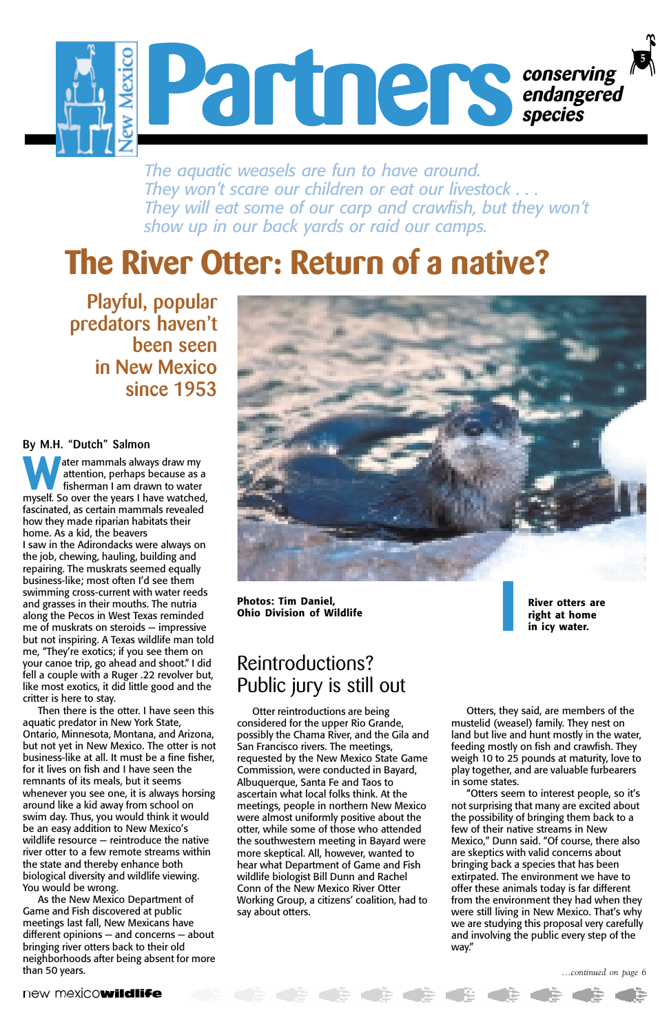*...continued on page 6*

#### new mexicowildlife

ater mammals always draw my attention, perhaps because as a fisherman I am drawn to water ater mammals always draw my attention, perhaps because as a fisherman I am drawn to water myself. So over the years I have watched, fascinated, as certain mammals revealed how they made riparian habitats their home. As a kid, the beavers I saw in the Adirondacks were always on the job, chewing, hauling, building and repairing. The muskrats seemed equally business-like; most often I'd see them swimming cross-current with water reeds and grasses in their mouths. The nutria along the Pecos in West Texas reminded me of muskrats on steroids — impressive but not inspiring. A Texas wildlife man told me, "They're exotics; if you see them on your canoe trip, go ahead and shoot." I did fell a couple with a Ruger .22 revolver but, like most exotics, it did little good and the critter is here to stay.

Then there is the otter. I have seen this aquatic predator in New York State, Ontario, Minnesota, Montana, and Arizona, but not yet in New Mexico. The otter is not business-like at all. It must be a fine fisher, for it lives on fish and I have seen the remnants of its meals, but it seems whenever you see one, it is always horsing around like a kid away from school on swim day. Thus, you would think it would be an easy addition to New Mexico's wildlife resource — reintroduce the native river otter to a few remote streams within the state and thereby enhance both biological diversity and wildlife viewing. You would be wrong. As the New Mexico Department of Game and Fish discovered at public meetings last fall, New Mexicans have different opinions — and concerns — about bringing river otters back to their old neighborhoods after being absent for more than 50 years.





## Reintroductions? Public jury is still out

Otter reintroductions are being considered for the upper Rio Grande, possibly the Chama River, and the Gila and San Francisco rivers. The meetings, requested by the New Mexico State Game Commission, were conducted in Bayard, Albuquerque, Santa Fe and Taos to ascertain what local folks think. At the meetings, people in northern New Mexico were almost uniformly positive about the otter, while some of those who attended the southwestern meeting in Bayard were more skeptical. All, however, wanted to hear what Department of Game and Fish wildlife biologist Bill Dunn and Rachel Conn of the New Mexico River Otter Working Group, a citizens' coalition, had to say about otters.

 $\mathbb{C} \in \mathbb{C}$ 

Otters, they said, are members of the mustelid (weasel) family. They nest on land but live and hunt mostly in the water, feeding mostly on fish and crawfish. They weigh 10 to 25 pounds at maturity, love to play together, and are valuable furbearers in some states. "Otters seem to interest people, so it's not surprising that many are excited about the possibility of bringing them back to a few of their native streams in New Mexico," Dunn said. "Of course, there also are skeptics with valid concerns about bringing back a species that has been extirpated. The environment we have to offer these animals today is far different from the environment they had when they were still living in New Mexico. That's why we are studying this proposal very carefully and involving the public every step of the way."

**C & & & &** 

## **The River Otter: Return of a native?**

**Playful, popular predators haven't been seen in New Mexico since 1953**

*The aquatic weasels are fun to have around. They won't scare our children or eat our livestock . . . They will eat some of our carp and crawfish, but they won't show up in our back yards or raid our camps.*

> **River otters are right at home in icy water.**

**Photos: Tim Daniel, Ohio Division of Wildlife**

#### **By M.H. "Dutch" Salmon**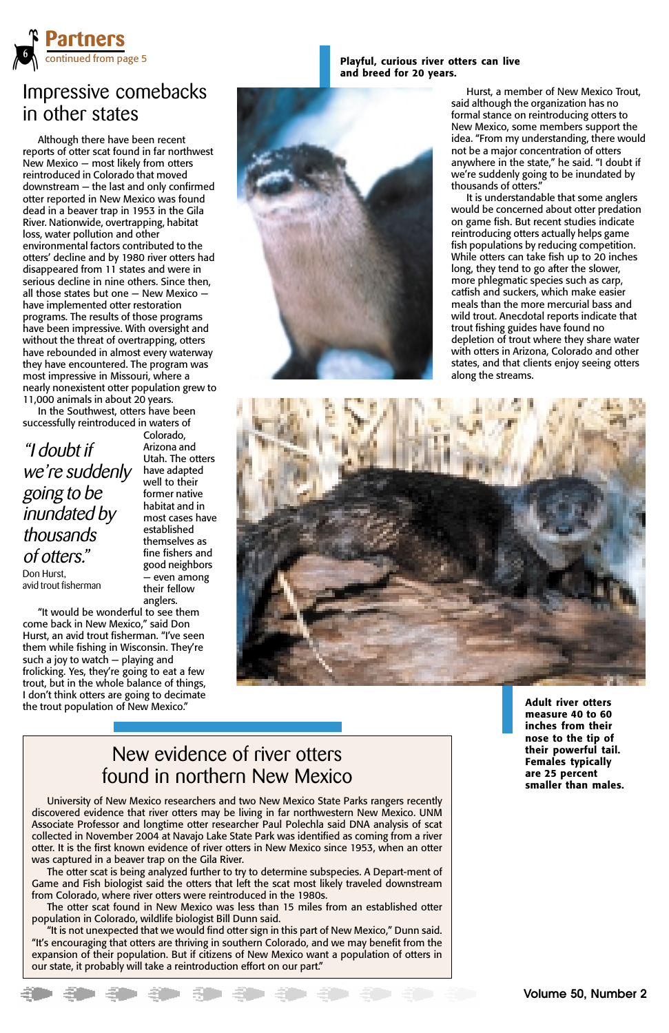## Impressive comebacks in other states

Although there have been recent reports of otter scat found in far northwest New Mexico — most likely from otters reintroduced in Colorado that moved downstream — the last and only confirmed otter reported in New Mexico was found dead in a beaver trap in 1953 in the Gila River. Nationwide, overtrapping, habitat loss, water pollution and other environmental factors contributed to the otters' decline and by 1980 river otters had disappeared from 11 states and were in serious decline in nine others. Since then, all those states but one — New Mexico have implemented otter restoration programs. The results of those programs have been impressive. With oversight and without the threat of overtrapping, otters have rebounded in almost every waterway they have encountered. The program was most impressive in Missouri, where a nearly nonexistent otter population grew to 11,000 animals in about 20 years.



In the Southwest, otters have been successfully reintroduced in waters of

Colorado, Arizona and Utah. The otters have adapted well to their former native habitat and in most cases have established themselves as fine fishers and good neighbors — even among their fellow anglers.

"It would be wonderful to see them come back in New Mexico," said Don Hurst, an avid trout fisherman. "I've seen them while fishing in Wisconsin. They're such a joy to watch — playing and frolicking. Yes, they're going to eat a few trout, but in the whole balance of things, I don't think otters are going to decimate the trout population of New Mexico."



**Playful, curious river otters can live**

**and breed for 20 years.**

**Adult river otters measure 40 to 60 inches from their nose to the tip of their powerful tail.**

**Females typically are 25 percent smaller than males.**

University of New Mexico researchers and two New Mexico State Parks rangers recently discovered evidence that river otters may be living in far northwestern New Mexico. UNM Associate Professor and longtime otter researcher Paul Polechla said DNA analysis of scat collected in November 2004 at Navajo Lake State Park was identified as coming from a river otter. It is the first known evidence of river otters in New Mexico since 1953, when an otter was captured in a beaver trap on the Gila River.

The otter scat is being analyzed further to try to determine subspecies. A Depart-ment of Game and Fish biologist said the otters that left the scat most likely traveled downstream from Colorado, where river otters were reintroduced in the 1980s.

The otter scat found in New Mexico was less than 15 miles from an established otter population in Colorado, wildlife biologist Bill Dunn said.

"It is not unexpected that we would find otter sign in this part of New Mexico," Dunn said. "It's encouraging that otters are thriving in southern Colorado, and we may benefit from the expansion of their population. But if citizens of New Mexico want a population of otters in our state, it probably will take a reintroduction effort on our part."

**. . . . . . .** 

## New evidence of river otters found in northern New Mexico

Hurst, a member of New Mexico Trout, said although the organization has no formal stance on reintroducing otters to New Mexico, some members support the idea. "From my understanding, there would not be a major concentration of otters anywhere in the state," he said. "I doubt if we're suddenly going to be inundated by thousands of otters."

It is understandable that some anglers would be concerned about otter predation on game fish. But recent studies indicate reintroducing otters actually helps game fish populations by reducing competition. While otters can take fish up to 20 inches long, they tend to go after the slower, more phlegmatic species such as carp, catfish and suckers, which make easier meals than the more mercurial bass and wild trout. Anecdotal reports indicate that trout fishing guides have found no depletion of trout where they share water with otters in Arizona, Colorado and other states, and that clients enjoy seeing otters along the streams.



"I doubt if we're suddenly going to be inundated by thousands of otters." Don Hurst, avid trout fisherman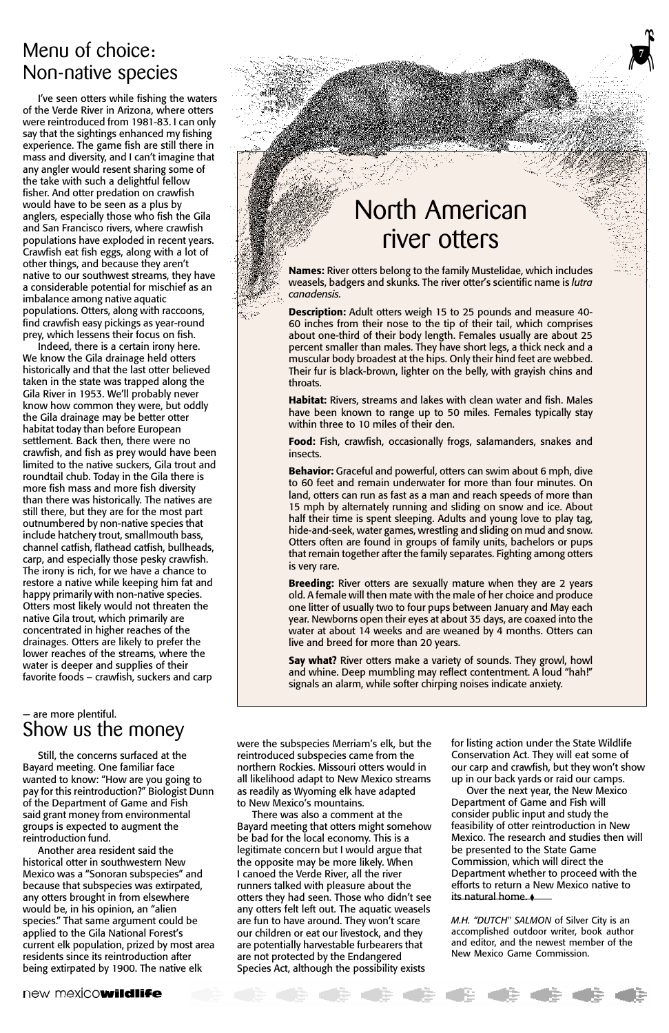**7**

## North American river otters

**Names:** River otters belong to the family Mustelidae, which includes weasels, badgers and skunks. The river otter's scientific name is *lutra canadensis.*

**Description:** Adult otters weigh 15 to 25 pounds and measure 40- 60 inches from their nose to the tip of their tail, which comprises about one-third of their body length. Females usually are about 25 percent smaller than males. They have short legs, a thick neck and a muscular body broadest at the hips. Only their hind feet are webbed. Their fur is black-brown, lighter on the belly, with grayish chins and throats.

**Habitat:** Rivers, streams and lakes with clean water and fish. Males have been known to range up to 50 miles. Females typically stay within three to 10 miles of their den.

**Food:** Fish, crawfish, occasionally frogs, salamanders, snakes and insects.

**Behavior:** Graceful and powerful, otters can swim about 6 mph, dive to 60 feet and remain underwater for more than four minutes. On land, otters can run as fast as a man and reach speeds of more than 15 mph by alternately running and sliding on snow and ice. About half their time is spent sleeping. Adults and young love to play tag, hide-and-seek, water games, wrestling and sliding on mud and snow. Otters often are found in groups of family units, bachelors or pups that remain together after the family separates. Fighting among otters is very rare.

**Breeding:** River otters are sexually mature when they are 2 years old. A female will then mate with the male of her choice and produce one litter of usually two to four pups between January and May each year. Newborns open their eyes at about 35 days, are coaxed into the water at about 14 weeks and are weaned by 4 months. Otters can live and breed for more than 20 years.

**Say what?** River otters make a variety of sounds. They growl, howl and whine. Deep mumbling may reflect contentment. A loud "hah!" signals an alarm, while softer chirping noises indicate anxiety.

## Menu of choice: Non-native species

I've seen otters while fishing the waters of the Verde River in Arizona, where otters were reintroduced from 1981-83. I can only say that the sightings enhanced my fishing experience. The game fish are still there in mass and diversity, and I can't imagine that any angler would resent sharing some of the take with such a delightful fellow fisher. And otter predation on crawfish would have to be seen as a plus by anglers, especially those who fish the Gila and San Francisco rivers, where crawfish populations have exploded in recent years. Crawfish eat fish eggs, along with a lot of other things, and because they aren't native to our southwest streams, they have a considerable potential for mischief as an imbalance among native aquatic populations. Otters, along with raccoons, find crawfish easy pickings as year-round prey, which lessens their focus on fish.

Indeed, there is a certain irony here. We know the Gila drainage held otters historically and that the last otter believed taken in the state was trapped along the Gila River in 1953. We'll probably never know how common they were, but oddly the Gila drainage may be better otter habitat today than before European settlement. Back then, there were no crawfish, and fish as prey would have been limited to the native suckers, Gila trout and roundtail chub. Today in the Gila there is more fish mass and more fish diversity than there was historically. The natives are still there, but they are for the most part outnumbered by non-native species that include hatchery trout, smallmouth bass, channel catfish, flathead catfish, bullheads, carp, and especially those pesky crawfish. The irony is rich, for we have a chance to restore a native while keeping him fat and happy primarily with non-native species. Otters most likely would not threaten the native Gila trout, which primarily are concentrated in higher reaches of the drainages. Otters are likely to prefer the lower reaches of the streams, where the water is deeper and supplies of their favorite foods – crawfish, suckers and carp

## — are more plentiful. Show us the money

Still, the concerns surfaced at the

Bayard meeting. One familiar face wanted to know: "How are you going to pay for this reintroduction?" Biologist Dunn of the Department of Game and Fish said grant money from environmental groups is expected to augment the reintroduction fund.

Another area resident said the historical otter in southwestern New Mexico was a "Sonoran subspecies" and because that subspecies was extirpated, any otters brought in from elsewhere would be, in his opinion, an "alien species." That same argument could be applied to the Gila National Forest's current elk population, prized by most area residents since its reintroduction after being extirpated by 1900. The native elk

new mexicowildlife

V**7**

were the subspecies Merriam's elk, but the reintroduced subspecies came from the

northern Rockies. Missouri otters would in all likelihood adapt to New Mexico streams as readily as Wyoming elk have adapted to New Mexico's mountains.

There was also a comment at the Bayard meeting that otters might somehow be bad for the local economy. This is a legitimate concern but I would argue that the opposite may be more likely. When I canoed the Verde River, all the river runners talked with pleasure about the otters they had seen. Those who didn't see any otters felt left out. The aquatic weasels are fun to have around. They won't scare our children or eat our livestock, and they are potentially harvestable furbearers that are not protected by the Endangered Species Act, although the possibility exists

for listing action under the State Wildlife Conservation Act. They will eat some of

our carp and crawfish, but they won't show up in our back yards or raid our camps.

Over the next year, the New Mexico Department of Game and Fish will consider public input and study the feasibility of otter reintroduction in New Mexico. The research and studies then will be presented to the State Game Commission, which will direct the Department whether to proceed with the efforts to return a New Mexico native to its natural home. ◆

*M.H. "DUTCH" SALMON* of Silver City is an accomplished outdoor writer, book author and editor, and the newest member of the New Mexico Game Commission.

**+ + + +**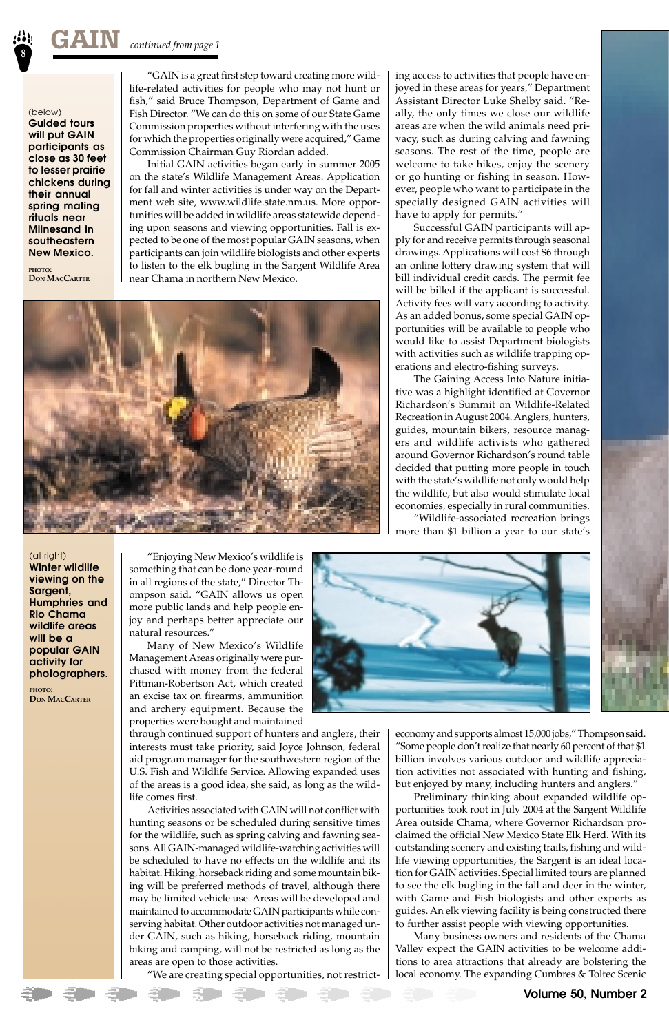ing access to activities that people have enjoyed in these areas for years," Department Assistant Director Luke Shelby said. "Really, the only times we close our wildlife areas are when the wild animals need privacy, such as during calving and fawning seasons. The rest of the time, people are welcome to take hikes, enjoy the scenery or go hunting or fishing in season. However, people who want to participate in the specially designed GAIN activities will have to apply for permits."

Successful GAIN participants will apply for and receive permits through seasonal drawings. Applications will cost \$6 through an online lottery drawing system that will bill individual credit cards. The permit fee will be billed if the applicant is successful. Activity fees will vary according to activity. As an added bonus, some special GAIN opportunities will be available to people who would like to assist Department biologists with activities such as wildlife trapping operations and electro-fishing surveys.

The Gaining Access Into Nature initiative was a highlight identified at Governor Richardson's Summit on Wildlife-Related Recreation in August 2004. Anglers, hunters, guides, mountain bikers, resource managers and wildlife activists who gathered around Governor Richardson's round table decided that putting more people in touch with the state's wildlife not only would help the wildlife, but also would stimulate local economies, especially in rural communities.

"Wildlife-associated recreation brings more than \$1 billion a year to our state's

economy and supports almost 15,000 jobs," Thompson said. "Some people don't realize that nearly 60 percent of that \$1 billion involves various outdoor and wildlife appreciation activities not associated with hunting and fishing, but enjoyed by many, including hunters and anglers." Preliminary thinking about expanded wildlife opportunities took root in July 2004 at the Sargent Wildlife Area outside Chama, where Governor Richardson proclaimed the official New Mexico State Elk Herd. With its outstanding scenery and existing trails, fishing and wildlife viewing opportunities, the Sargent is an ideal location for GAIN activities. Special limited tours are planned to see the elk bugling in the fall and deer in the winter, with Game and Fish biologists and other experts as guides. An elk viewing facility is being constructed there to further assist people with viewing opportunities.

Many business owners and residents of the Chama Valley expect the GAIN activities to be welcome additions to area attractions that already are bolstering the local economy. The expanding Cumbres & Toltec Scenic

"GAIN is a great first step toward creating more wildlife-related activities for people who may not hunt or fish," said Bruce Thompson, Department of Game and Fish Director. "We can do this on some of our State Game Commission properties without interfering with the uses for which the properties originally were acquired," Game Commission Chairman Guy Riordan added.

Initial GAIN activities began early in summer 2005 on the state's Wildlife Management Areas. Application for fall and winter activities is under way on the Department web site, www.wildlife.state.nm.us. More opportunities will be added in wildlife areas statewide depending upon seasons and viewing opportunities. Fall is expected to be one of the most popular GAIN seasons, when participants can join wildlife biologists and other experts to listen to the elk bugling in the Sargent Wildlife Area near Chama in northern New Mexico.



"Enjoying New Mexico's wildlife is something that can be done year-round in all regions of the state," Director Thompson said. "GAIN allows us open more public lands and help people enjoy and perhaps better appreciate our natural resources."

Many of New Mexico's Wildlife Management Areas originally were purchased with money from the federal Pittman-Robertson Act, which created an excise tax on firearms, ammunition and archery equipment. Because the properties were bought and maintained

through continued support of hunters and anglers, their interests must take priority, said Joyce Johnson, federal aid program manager for the southwestern region of the U.S. Fish and Wildlife Service. Allowing expanded uses of the areas is a good idea, she said, as long as the wildlife comes first.

![](_page_7_Picture_16.jpeg)

Activities associated with GAIN will not conflict with hunting seasons or be scheduled during sensitive times for the wildlife, such as spring calving and fawning seasons. All GAIN-managed wildlife-watching activities will be scheduled to have no effects on the wildlife and its habitat. Hiking, horseback riding and some mountain biking will be preferred methods of travel, although there may be limited vehicle use. Areas will be developed and maintained to accommodate GAIN participants while conserving habitat. Other outdoor activities not managed under GAIN, such as hiking, horseback riding, mountain biking and camping, will not be restricted as long as the areas are open to those activities.

"We are creating special opportunities, not restrict-

(below) **Guided tours will put GAIN participants as close as 30 feet to lesser prairie chickens during their annual spring mating rituals near Milnesand in southeastern New Mexico.**

**PHOTO: DON MACCARTER**

(at right)

**Winter wildlife viewing on the Sargent, Humphries and Rio Chama wildlife areas will be a popular GAIN activity for photographers.**

**PHOTO: DON MACCARTER**

 $\leq$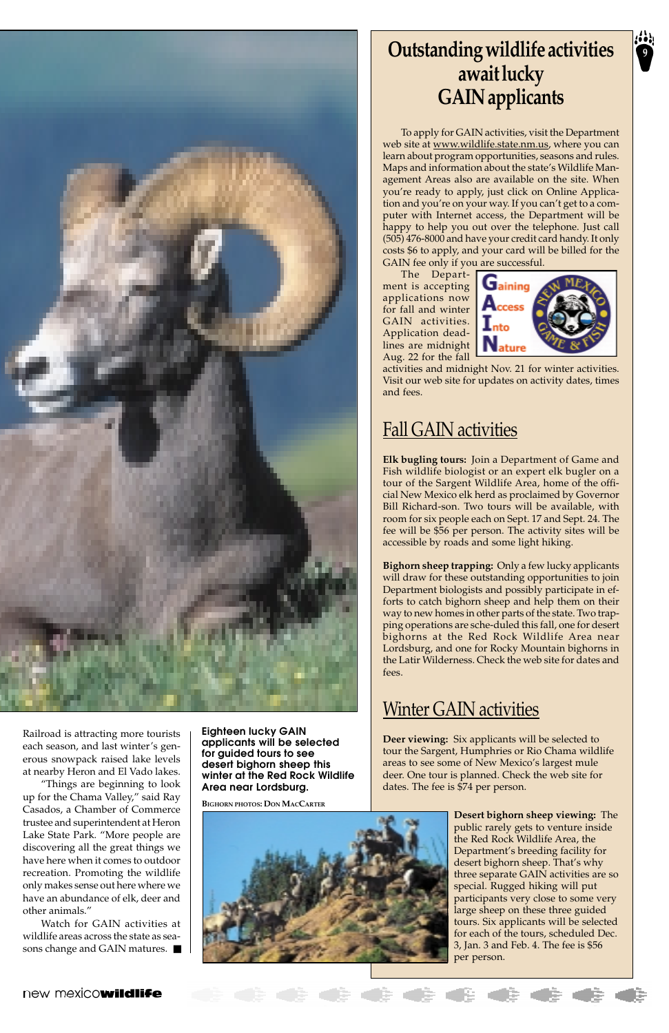## **Outstanding wildlife activities <sup>9</sup> await lucky GAIN applicants**

To apply for GAIN activities, visit the Department web site at <u>www.wildlife.state.nm.us</u>, where you can learn about program opportunities, seasons and rules. Maps and information about the state's Wildlife Management Areas also are available on the site. When you're ready to apply, just click on Online Application and you're on your way. If you can't get to a computer with Internet access, the Department will be happy to help you out over the telephone. Just call (505) 476-8000 and have your credit card handy. It only costs \$6 to apply, and your card will be billed for the GAIN fee only if you are successful.

The Department is accepting applications now for fall and winter GAIN activities. Application deadlines are midnight Aug. 22 for the fall

![](_page_8_Picture_6.jpeg)

activities and midnight Nov. 21 for winter activities. Visit our web site for updates on activity dates, times and fees.

## Fall GAIN activities

**Elk bugling tours:** Join a Department of Game and Fish wildlife biologist or an expert elk bugler on a tour of the Sargent Wildlife Area, home of the official New Mexico elk herd as proclaimed by Governor Bill Richard-son. Two tours will be available, with room for six people each on Sept. 17 and Sept. 24. The fee will be \$56 per person. The activity sites will be accessible by roads and some light hiking.

**Bighorn sheep trapping:** Only a few lucky applicants will draw for these outstanding opportunities to join Department biologists and possibly participate in efforts to catch bighorn sheep and help them on their way to new homes in other parts of the state. Two trapping operations are sche-duled this fall, one for desert bighorns at the Red Rock Wildlife Area near Lordsburg, and one for Rocky Mountain bighorns in the Latir Wilderness. Check the web site for dates and fees.

## **Winter GAIN activities**

**Deer viewing:** Six applicants will be selected to tour the Sargent, Humphries or Rio Chama wildlife

![](_page_8_Picture_13.jpeg)

areas to see some of New Mexico's largest mule deer. One tour is planned. Check the web site for dates. The fee is \$74 per person.

> **Desert bighorn sheep viewing:** The public rarely gets to venture inside the Red Rock Wildlife Area, the Department's breeding facility for desert bighorn sheep. That's why three separate GAIN activities are so special. Rugged hiking will put participants very close to some very large sheep on these three guided tours. Six applicants will be selected for each of the tours, scheduled Dec. 3, Jan. 3 and Feb. 4. The fee is \$56 per person.

#### new mexicowildlife

**Eighteen lucky GAIN applicants will be selected for guided tours to see desert bighorn sheep this winter at the Red Rock Wildlife Area near Lordsburg.**

**BIGHORN PHOTOS: DON MACCARTER**

![](_page_8_Picture_16.jpeg)

![](_page_8_Picture_0.jpeg)

Railroad is attracting more tourists each season, and last winter's generous snowpack raised lake levels at nearby Heron and El Vado lakes. "Things are beginning to look up for the Chama Valley," said Ray Casados, a Chamber of Commerce trustee and superintendent at Heron Lake State Park. "More people are discovering all the great things we have here when it comes to outdoor recreation. Promoting the wildlife only makes sense out here where we have an abundance of elk, deer and other animals."

Watch for GAIN activities at wildlife areas across the state as seasons change and GAIN matures. ■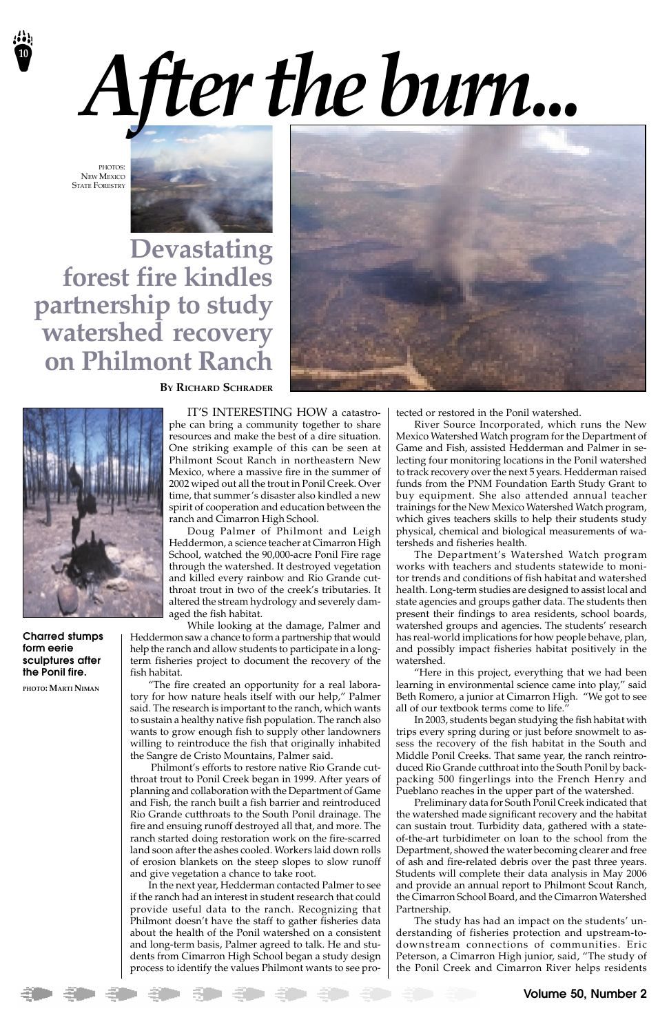**10**

![](_page_9_Picture_2.jpeg)

IT'S INTERESTING HOW a catastrophe can bring a community together to share resources and make the best of a dire situation. One striking example of this can be seen at Philmont Scout Ranch in northeastern New Mexico, where a massive fire in the summer of 2002 wiped out all the trout in Ponil Creek. Over time, that summer's disaster also kindled a new spirit of cooperation and education between the ranch and Cimarron High School.

Doug Palmer of Philmont and Leigh Heddermon, a science teacher at Cimarron High School, watched the 90,000-acre Ponil Fire rage through the watershed. It destroyed vegetation and killed every rainbow and Rio Grande cutthroat trout in two of the creek's tributaries. It altered the stream hydrology and severely damaged the fish habitat.

While looking at the damage, Palmer and Heddermon saw a chance to form a partnership that would help the ranch and allow students to participate in a longterm fisheries project to document the recovery of the fish habitat.

"The fire created an opportunity for a real laboratory for how nature heals itself with our help," Palmer said. The research is important to the ranch, which wants to sustain a healthy native fish population. The ranch also wants to grow enough fish to supply other landowners willing to reintroduce the fish that originally inhabited the Sangre de Cristo Mountains, Palmer said. Philmont's efforts to restore native Rio Grande cutthroat trout to Ponil Creek began in 1999. After years of planning and collaboration with the Department of Game and Fish, the ranch built a fish barrier and reintroduced Rio Grande cutthroats to the South Ponil drainage. The fire and ensuing runoff destroyed all that, and more. The ranch started doing restoration work on the fire-scarred land soon after the ashes cooled. Workers laid down rolls of erosion blankets on the steep slopes to slow runoff and give vegetation a chance to take root. In the next year, Hedderman contacted Palmer to see if the ranch had an interest in student research that could provide useful data to the ranch. Recognizing that Philmont doesn't have the staff to gather fisheries data about the health of the Ponil watershed on a consistent and long-term basis, Palmer agreed to talk. He and students from Cimarron High School began a study design process to identify the values Philmont wants to see protected or restored in the Ponil watershed.

PHOTOS: NEW MEXICO STATE FORESTRY

> River Source Incorporated, which runs the New Mexico Watershed Watch program for the Department of Game and Fish, assisted Hedderman and Palmer in selecting four monitoring locations in the Ponil watershed to track recovery over the next 5 years. Hedderman raised funds from the PNM Foundation Earth Study Grant to buy equipment. She also attended annual teacher trainings for the New Mexico Watershed Watch program, which gives teachers skills to help their students study physical, chemical and biological measurements of watersheds and fisheries health.

> The Department's Watershed Watch program works with teachers and students statewide to monitor trends and conditions of fish habitat and watershed health. Long-term studies are designed to assist local and state agencies and groups gather data. The students then present their findings to area residents, school boards, watershed groups and agencies. The students' research has real-world implications for how people behave, plan, and possibly impact fisheries habitat positively in the watershed.

> "Here in this project, everything that we had been learning in environmental science came into play," said Beth Romero, a junior at Cimarron High. "We got to see all of our textbook terms come to life."

> In 2003, students began studying the fish habitat with trips every spring during or just before snowmelt to assess the recovery of the fish habitat in the South and Middle Ponil Creeks. That same year, the ranch reintroduced Rio Grande cutthroat into the South Ponil by backpacking 500 fingerlings into the French Henry and Pueblano reaches in the upper part of the watershed. Preliminary data for South Ponil Creek indicated that the watershed made significant recovery and the habitat can sustain trout. Turbidity data, gathered with a stateof-the-art turbidimeter on loan to the school from the Department, showed the water becoming clearer and free of ash and fire-related debris over the past three years. Students will complete their data analysis in May 2006 and provide an annual report to Philmont Scout Ranch, the Cimarron School Board, and the Cimarron Watershed Partnership. The study has had an impact on the students' understanding of fisheries protection and upstream-todownstream connections of communities. Eric Peterson, a Cimarron High junior, said, "The study of the Ponil Creek and Cimarron River helps residents

**Devastating forest fire kindles partnership to study watershed recovery on Philmont Ranch**

![](_page_9_Picture_4.jpeg)

![](_page_9_Picture_5.jpeg)

**BY RICHARD SCHRADER**

**Charred stumps form eerie sculptures after the Ponil fire.**

**PHOTO: MARTI NIMAN**

# *After the burn...*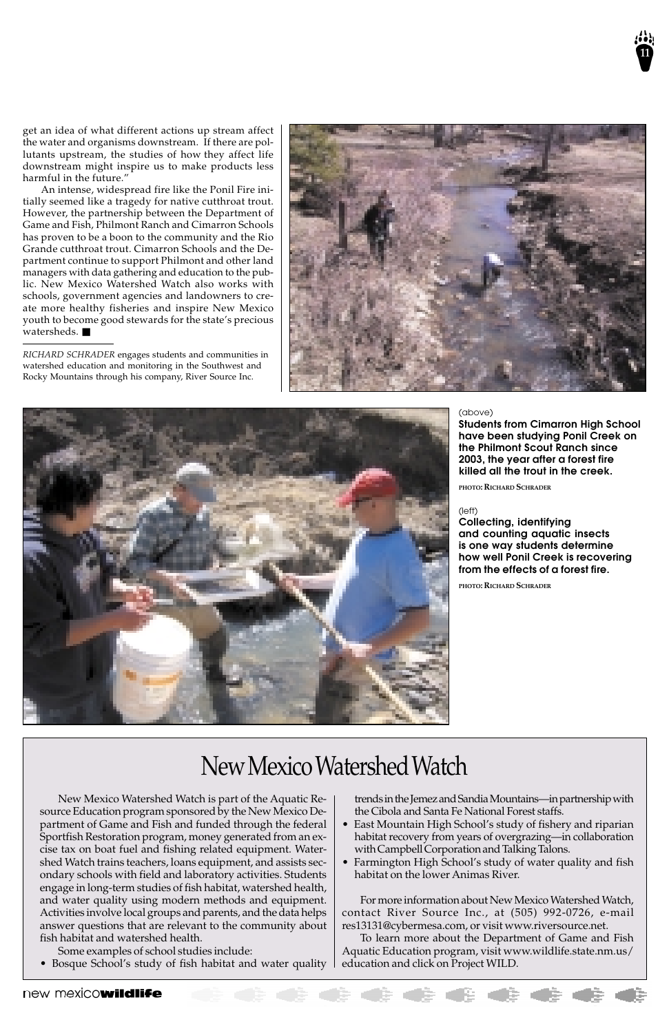get an idea of what different actions up stream affect the water and organisms downstream. If there are pollutants upstream, the studies of how they affect life downstream might inspire us to make products less harmful in the future."

An intense, widespread fire like the Ponil Fire initially seemed like a tragedy for native cutthroat trout. However, the partnership between the Department of Game and Fish, Philmont Ranch and Cimarron Schools has proven to be a boon to the community and the Rio Grande cutthroat trout. Cimarron Schools and the Department continue to support Philmont and other land managers with data gathering and education to the public. New Mexico Watershed Watch also works with schools, government agencies and landowners to create more healthy fisheries and inspire New Mexico youth to become good stewards for the state's precious watersheds. ■

*RICHARD SCHRADER* engages students and communities in watershed education and monitoring in the Southwest and Rocky Mountains through his company, River Source Inc.

![](_page_10_Picture_4.jpeg)

![](_page_10_Picture_5.jpeg)

New Mexico Watershed Watch is part of the Aquatic Resource Education program sponsored by the New Mexico Department of Game and Fish and funded through the federal Sportfish Restoration program, money generated from an excise tax on boat fuel and fishing related equipment. Watershed Watch trains teachers, loans equipment, and assists secondary schools with field and laboratory activities. Students engage in long-term studies of fish habitat, watershed health, and water quality using modern methods and equipment. Activities involve local groups and parents, and the data helps answer questions that are relevant to the community about fish habitat and watershed health.

Some examples of school studies include:

• Bosque School's study of fish habitat and water quality

#### (above)

**Students from Cimarron High School have been studying Ponil Creek on the Philmont Scout Ranch since 2003, the year after a forest fire killed all the trout in the creek.**

**PHOTO: RICHARD SCHRADER**

(left)

**Collecting, identifying and counting aquatic insects is one way students determine how well Ponil Creek is recovering from the effects of a forest fire.**

**PHOTO: RICHARD SCHRADER**

trends in the Jemez and Sandia Mountains—in partnership with the Cibola and Santa Fe National Forest staffs.

- East Mountain High School's study of fishery and riparian habitat recovery from years of overgrazing—in collaboration with Campbell Corporation and Talking Talons.
- Farmington High School's study of water quality and fish habitat on the lower Animas River.

For more information about New Mexico Watershed Watch, contact River Source Inc., at (505) 992-0726, e-mail res13131@cybermesa.com, or visit www.riversource.net.

To learn more about the Department of Game and Fish Aquatic Education program, visit www.wildlife.state.nm.us/ education and click on Project WILD.

#### new mexicowildlife DE CERCIE

## New Mexico Watershed Watch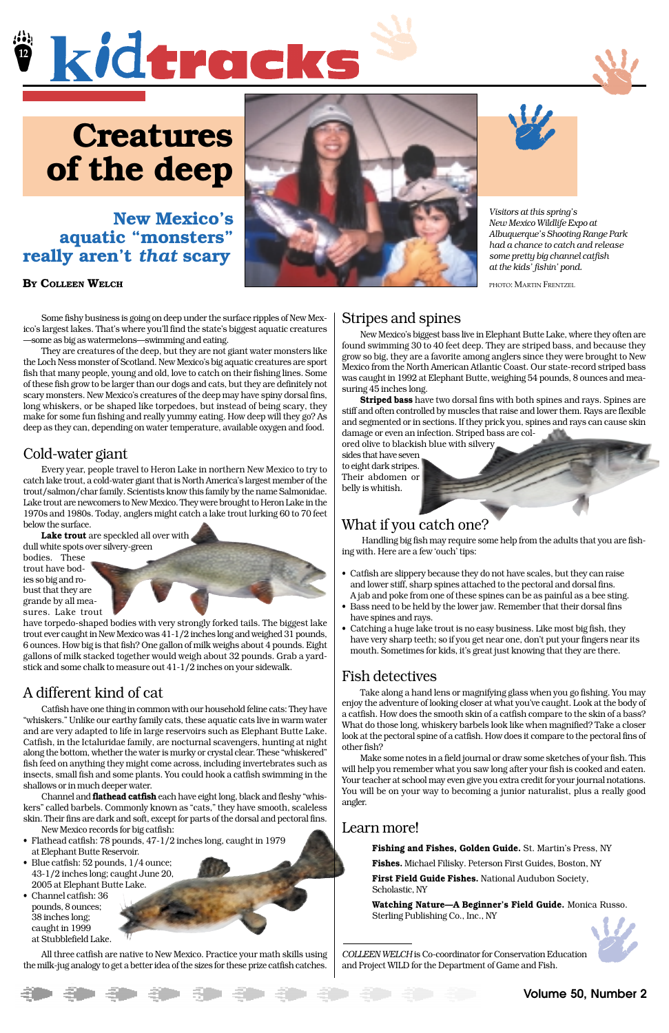![](_page_11_Picture_0.jpeg)

![](_page_11_Picture_1.jpeg)

Some fishy business is going on deep under the surface ripples of New Mexico's largest lakes. That's where you'll find the state's biggest aquatic creatures —some as big as watermelons—swimming and eating.

They are creatures of the deep, but they are not giant water monsters like the Loch Ness monster of Scotland. New Mexico's big aquatic creatures are sport fish that many people, young and old, love to catch on their fishing lines. Some of these fish grow to be larger than our dogs and cats, but they are definitely not scary monsters. New Mexico's creatures of the deep may have spiny dorsal fins, long whiskers, or be shaped like torpedoes, but instead of being scary, they make for some fun fishing and really yummy eating. How deep will they go? As deep as they can, depending on water temperature, available oxygen and food.

## Cold-water giant

Every year, people travel to Heron Lake in northern New Mexico to try to catch lake trout, a cold-water giant that is North America's largest member of the trout/salmon/char family. Scientists know this family by the name Salmonidae. Lake trout are newcomers to New Mexico. They were brought to Heron Lake in the 1970s and 1980s. Today, anglers might catch a lake trout lurking 60 to 70 feet below the surface.

**Lake trout** are speckled all over with

dull white spots over silvery-green bodies. These trout have bodies so big and robust that they are grande by all measures. Lake trout

![](_page_11_Picture_15.jpeg)

have torpedo-shaped bodies with very strongly forked tails. The biggest lake trout ever caught in New Mexico was 41-1/2 inches long and weighed 31 pounds, 6 ounces. How big is that fish? One gallon of milk weighs about 4 pounds. Eight gallons of milk stacked together would weigh about 32 pounds. Grab a yardstick and some chalk to measure out 41-1/2 inches on your sidewalk.

## A different kind of cat

Catfish have one thing in common with our household feline cats: They have "whiskers." Unlike our earthy family cats, these aquatic cats live in warm water and are very adapted to life in large reservoirs such as Elephant Butte Lake. Catfish, in the Ictaluridae family, are nocturnal scavengers, hunting at night along the bottom, whether the water is murky or crystal clear. These "whiskered" fish feed on anything they might come across, including invertebrates such as insects, small fish and some plants. You could hook a catfish swimming in the shallows or in much deeper water. Channel and **flathead catfish** each have eight long, black and fleshy "whiskers" called barbels. Commonly known as "cats," they have smooth, scaleless skin. Their fins are dark and soft, except for parts of the dorsal and pectoral fins.

New Mexico records for big catfish:

- Flathead catfish: 78 pounds, 47-1/2 inches long, caught in 1979 at Elephant Butte Reservoir.
- Blue catfish: 52 pounds, 1/4 ounce; 43-1/2 inches long; caught June 20, 2005 at Elephant Butte Lake.
- Channel catfish: 36 pounds, 8 ounces; 38 inches long; caught in 1999 at Stubblefield Lake.

![](_page_11_Picture_35.jpeg)

All three catfish are native to New Mexico. Practice your math skills using the milk-jug analogy to get a better idea of the sizes for these prize catfish catches.

## Stripes and spines

New Mexico's biggest bass live in Elephant Butte Lake, where they often are found swimming 30 to 40 feet deep. They are striped bass, and because they grow so big, they are a favorite among anglers since they were brought to New Mexico from the North American Atlantic Coast. Our state-record striped bass was caught in 1992 at Elephant Butte, weighing 54 pounds, 8 ounces and measuring 45 inches long.

**Striped bass** have two dorsal fins with both spines and rays. Spines are stiff and often controlled by muscles that raise and lower them. Rays are flexible and segmented or in sections. If they prick you, spines and rays can cause skin damage or even an infection. Striped bass are col-

ored olive to blackish blue with silvery sides that have seven to eight dark stripes. Their abdomen or belly is whitish.

## What if you catch one?

 Handling big fish may require some help from the adults that you are fishing with. Here are a few 'ouch' tips:

- Catfish are slippery because they do not have scales, but they can raise and lower stiff, sharp spines attached to the pectoral and dorsal fins. A jab and poke from one of these spines can be as painful as a bee sting.
- Bass need to be held by the lower jaw. Remember that their dorsal fins have spines and rays.
- Catching a huge lake trout is no easy business. Like most big fish, they have very sharp teeth; so if you get near one, don't put your fingers near its mouth. Sometimes for kids, it's great just knowing that they are there.

## Fish detectives

Take along a hand lens or magnifying glass when you go fishing. You may enjoy the adventure of looking closer at what you've caught. Look at the body of a catfish. How does the smooth skin of a catfish compare to the skin of a bass? What do those long, whiskery barbels look like when magnified? Take a closer look at the pectoral spine of a catfish. How does it compare to the pectoral fins of other fish?

Make some notes in a field journal or draw some sketches of your fish. This will help you remember what you saw long after your fish is cooked and eaten. Your teacher at school may even give you extra credit for your journal notations. You will be on your way to becoming a junior naturalist, plus a really good angler.

## Learn more!

**Fishing and Fishes, Golden Guide.** St. Martin's Press, NY **Fishes.** Michael Filisky. Peterson First Guides, Boston, NY **First Field Guide Fishes.** National Audubon Society, Scholastic, NY

**Watching Nature—A Beginner's Field Guide.** Monica Russo. Sterling Publishing Co., Inc., NY

*COLLEEN WELCH* is Co-coordinator for Conservation Education and Project WILD for the Department of Game and Fish.

## **Creatures of the deep**

## **New Mexico's aquatic "monsters" really aren't** *that* **scary**

#### **BY COLLEEN WELCH**

![](_page_11_Picture_5.jpeg)

![](_page_11_Picture_6.jpeg)

*Visitors at this spring's New Mexico Wildlife Expo at Albuquerque's Shooting Range Park had a chance to catch and release some pretty big channel catfish at the kids' fishin' pond.*

PHOTO: MARTIN FRENTZEL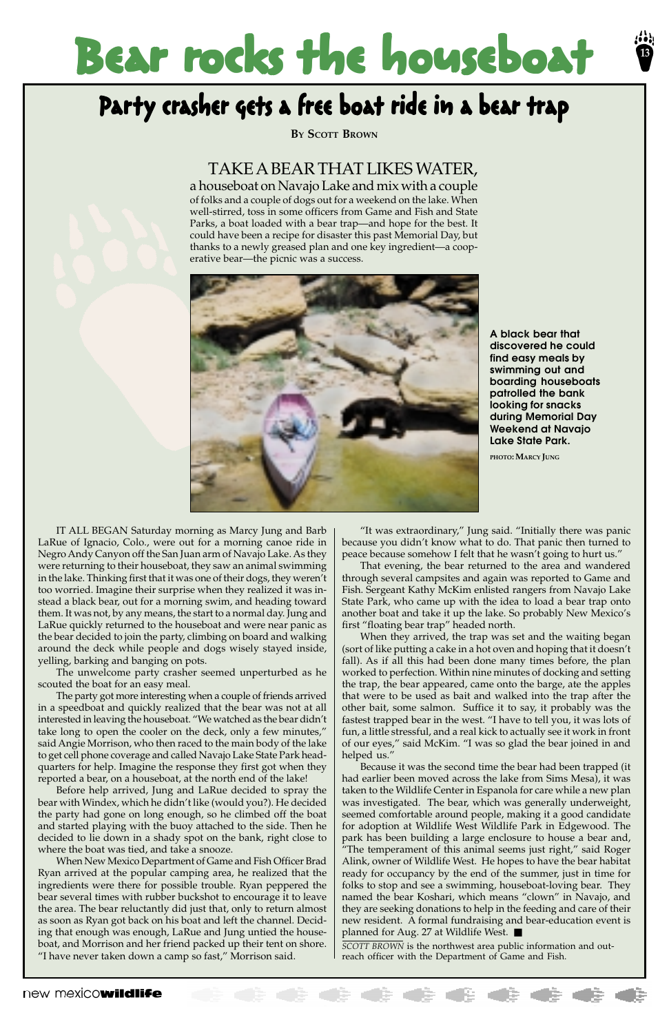## Bear rocks the houseboat

## Party crasher gets a free boat ride in a bear trap

**13**

IT ALL BEGAN Saturday morning as Marcy Jung and Barb LaRue of Ignacio, Colo., were out for a morning canoe ride in Negro Andy Canyon off the San Juan arm of Navajo Lake. As they were returning to their houseboat, they saw an animal swimming in the lake. Thinking first that it was one of their dogs, they weren't too worried. Imagine their surprise when they realized it was instead a black bear, out for a morning swim, and heading toward them. It was not, by any means, the start to a normal day. Jung and LaRue quickly returned to the houseboat and were near panic as the bear decided to join the party, climbing on board and walking around the deck while people and dogs wisely stayed inside, yelling, barking and banging on pots.

The unwelcome party crasher seemed unperturbed as he scouted the boat for an easy meal.

The party got more interesting when a couple of friends arrived in a speedboat and quickly realized that the bear was not at all interested in leaving the houseboat. "We watched as the bear didn't take long to open the cooler on the deck, only a few minutes," said Angie Morrison, who then raced to the main body of the lake to get cell phone coverage and called Navajo Lake State Park headquarters for help. Imagine the response they first got when they reported a bear, on a houseboat, at the north end of the lake! Before help arrived, Jung and LaRue decided to spray the bear with Windex, which he didn't like (would you?). He decided the party had gone on long enough, so he climbed off the boat and started playing with the buoy attached to the side. Then he decided to lie down in a shady spot on the bank, right close to where the boat was tied, and take a snooze. When New Mexico Department of Game and Fish Officer Brad Ryan arrived at the popular camping area, he realized that the ingredients were there for possible trouble. Ryan peppered the bear several times with rubber buckshot to encourage it to leave the area. The bear reluctantly did just that, only to return almost as soon as Ryan got back on his boat and left the channel. Deciding that enough was enough, LaRue and Jung untied the houseboat, and Morrison and her friend packed up their tent on shore. "I have never taken down a camp so fast," Morrison said.

**A black bear that discovered he could find easy meals by swimming out and boarding houseboats patrolled the bank looking for snacks during Memorial Day Weekend at Navajo Lake State Park.**

**PHOTO: MARCY JUNG**

**BY SCOTT BROWN**

"It was extraordinary," Jung said. "Initially there was panic because you didn't know what to do. That panic then turned to peace because somehow I felt that he wasn't going to hurt us."

That evening, the bear returned to the area and wandered through several campsites and again was reported to Game and Fish. Sergeant Kathy McKim enlisted rangers from Navajo Lake State Park, who came up with the idea to load a bear trap onto another boat and take it up the lake. So probably New Mexico's first "floating bear trap" headed north.

When they arrived, the trap was set and the waiting began (sort of like putting a cake in a hot oven and hoping that it doesn't fall). As if all this had been done many times before, the plan worked to perfection. Within nine minutes of docking and setting the trap, the bear appeared, came onto the barge, ate the apples that were to be used as bait and walked into the trap after the other bait, some salmon. Suffice it to say, it probably was the fastest trapped bear in the west. "I have to tell you, it was lots of fun, a little stressful, and a real kick to actually see it work in front of our eyes," said McKim. "I was so glad the bear joined in and helped us." Because it was the second time the bear had been trapped (it had earlier been moved across the lake from Sims Mesa), it was taken to the Wildlife Center in Espanola for care while a new plan was investigated. The bear, which was generally underweight, seemed comfortable around people, making it a good candidate for adoption at Wildlife West Wildlife Park in Edgewood. The park has been building a large enclosure to house a bear and, "The temperament of this animal seems just right," said Roger Alink, owner of Wildlife West. He hopes to have the bear habitat ready for occupancy by the end of the summer, just in time for folks to stop and see a swimming, houseboat-loving bear. They named the bear Koshari, which means "clown" in Navajo, and they are seeking donations to help in the feeding and care of their new resident. A formal fundraising and bear-education event is planned for Aug. 27 at Wildlife West. ■

*SCOTT BROWN* is the northwest area public information and outreach officer with the Department of Game and Fish.

#### new mexicowildlife

## TAKE A BEAR THAT LIKES WATER,

a houseboat on Navajo Lake and mix with a couple of folks and a couple of dogs out for a weekend on the lake. When well-stirred, toss in some officers from Game and Fish and State Parks, a boat loaded with a bear trap—and hope for the best. It could have been a recipe for disaster this past Memorial Day, but thanks to a newly greased plan and one key ingredient—a cooperative bear—the picnic was a success.

![](_page_12_Picture_5.jpeg)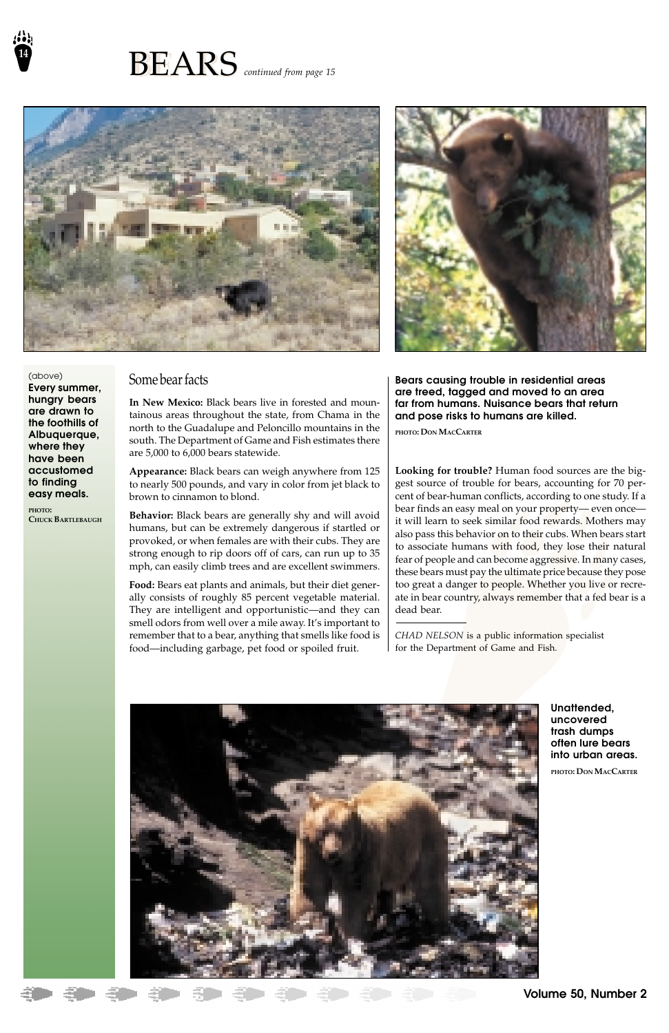![](_page_13_Picture_0.jpeg)

![](_page_13_Picture_1.jpeg)

![](_page_13_Picture_2.jpeg)

## Some bear facts

**In New Mexico:** Black bears live in forested and mountainous areas throughout the state, from Chama in the north to the Guadalupe and Peloncillo mountains in the south. The Department of Game and Fish estimates there are 5,000 to 6,000 bears statewide.

**Appearance:** Black bears can weigh anywhere from 125 to nearly 500 pounds, and vary in color from jet black to brown to cinnamon to blond.

**Behavior:** Black bears are generally shy and will avoid humans, but can be extremely dangerous if startled or provoked, or when females are with their cubs. They are strong enough to rip doors off of cars, can run up to 35 mph, can easily climb trees and are excellent swimmers.

**Food:** Bears eat plants and animals, but their diet generally consists of roughly 85 percent vegetable material. They are intelligent and opportunistic—and they can smell odors from well over a mile away. It's important to remember that to a bear, anything that smells like food is food—including garbage, pet food or spoiled fruit.

**Looking for trouble?** Human food sources are the biggest source of trouble for bears, accounting for 70 percent of bear-human conflicts, according to one study. If a bear finds an easy meal on your property— even once it will learn to seek similar food rewards. Mothers may also pass this behavior on to their cubs. When bears start to associate humans with food, they lose their natural fear of people and can become aggressive. In many cases, these bears must pay the ultimate price because they pose too great a danger to people. Whether you live or recreate in bear country, always remember that a fed bear is a dead bear.

*CHAD NELSON* is a public information specialist for the Department of Game and Fish.

![](_page_13_Picture_14.jpeg)

(above) **Every summer, hungry bears are drawn to the foothills of Albuquerque, where they have been accustomed to finding easy meals.**

**PHOTO: CHUCK BARTLEBAUGH** **Bears causing trouble in residential areas are treed, tagged and moved to an area far from humans. Nuisance bears that return and pose risks to humans are killed.**

**PHOTO: DON MACCARTER**

**Unattended, uncovered trash dumps often lure bears into urban areas.**

#### **PHOTO: DON MACCARTER**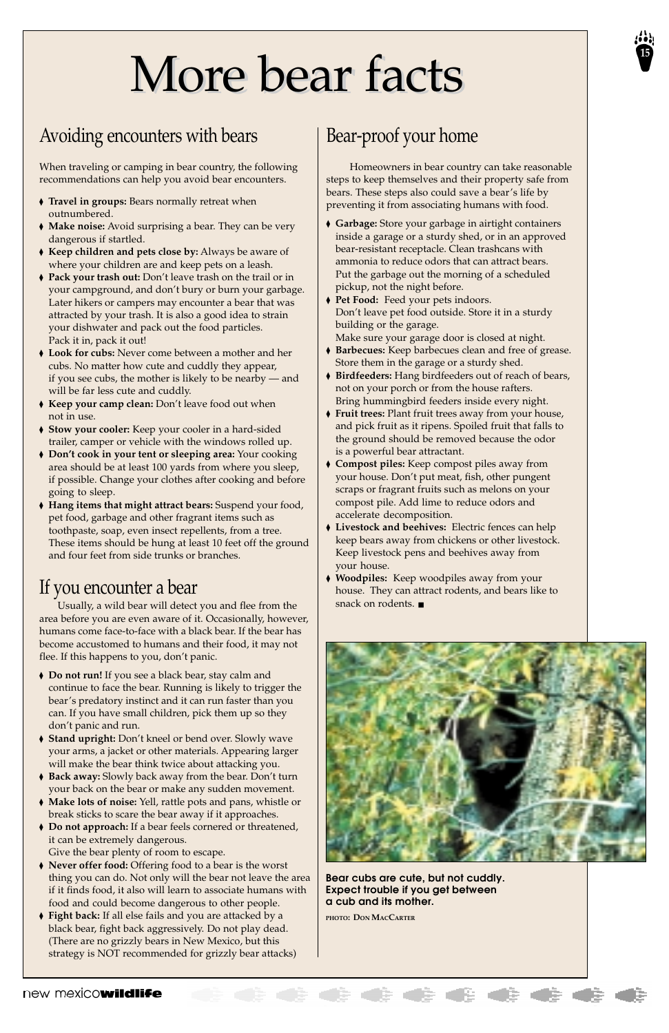## More bear facts

## Avoiding encounters with bears

When traveling or camping in bear country, the following recommendations can help you avoid bear encounters.

- ◆ **Travel in groups:** Bears normally retreat when outnumbered.
- ◆ **Make noise:** Avoid surprising a bear. They can be very dangerous if startled.
- ◆ **Keep children and pets close by:** Always be aware of where your children are and keep pets on a leash.
- ◆ **Pack your trash out:** Don't leave trash on the trail or in your campground, and don't bury or burn your garbage. Later hikers or campers may encounter a bear that was attracted by your trash. It is also a good idea to strain your dishwater and pack out the food particles. Pack it in, pack it out!
- ◆ **Look for cubs:** Never come between a mother and her cubs. No matter how cute and cuddly they appear, if you see cubs, the mother is likely to be nearby — and will be far less cute and cuddly.
- ◆ **Keep your camp clean:** Don't leave food out when not in use.
- ◆ **Stow your cooler:** Keep your cooler in a hard-sided trailer, camper or vehicle with the windows rolled up.
- ◆ **Don't cook in your tent or sleeping area:** Your cooking area should be at least 100 yards from where you sleep, if possible. Change your clothes after cooking and before going to sleep.
- ◆ **Hang items that might attract bears:** Suspend your food, pet food, garbage and other fragrant items such as toothpaste, soap, even insect repellents, from a tree. These items should be hung at least 10 feet off the ground and four feet from side trunks or branches.

- ◆ **Do not run!** If you see a black bear, stay calm and continue to face the bear. Running is likely to trigger the bear's predatory instinct and it can run faster than you can. If you have small children, pick them up so they don't panic and run.
- ◆ **Stand upright:** Don't kneel or bend over. Slowly wave your arms, a jacket or other materials. Appearing larger

## If you encounter a bear

Usually, a wild bear will detect you and flee from the area before you are even aware of it. Occasionally, however, humans come face-to-face with a black bear. If the bear has become accustomed to humans and their food, it may not flee. If this happens to you, don't panic.

- will make the bear think twice about attacking you.
- ◆ **Back away:** Slowly back away from the bear. Don't turn your back on the bear or make any sudden movement.
- ◆ **Make lots of noise:** Yell, rattle pots and pans, whistle or break sticks to scare the bear away if it approaches.
- ◆ **Do not approach:** If a bear feels cornered or threatened, it can be extremely dangerous. Give the bear plenty of room to escape.
- ◆ **Never offer food:** Offering food to a bear is the worst thing you can do. Not only will the bear not leave the area if it finds food, it also will learn to associate humans with food and could become dangerous to other people.
- ◆ **Fight back:** If all else fails and you are attacked by a black bear, fight back aggressively. Do not play dead. (There are no grizzly bears in New Mexico, but this strategy is NOT recommended for grizzly bear attacks)

**Bear cubs are cute, but not cuddly. Expect trouble if you get between a cub and its mother.**

**PHOTO: DON MACCARTER**

#### **B & & & &** new mexicowildlife

## Bear-proof your home

 Homeowners in bear country can take reasonable steps to keep themselves and their property safe from bears. These steps also could save a bear's life by preventing it from associating humans with food.

- ◆ **Garbage:** Store your garbage in airtight containers inside a garage or a sturdy shed, or in an approved bear-resistant receptacle. Clean trashcans with ammonia to reduce odors that can attract bears. Put the garbage out the morning of a scheduled pickup, not the night before.
- ◆ **Pet Food:** Feed your pets indoors. Don't leave pet food outside. Store it in a sturdy building or the garage.
- Make sure your garage door is closed at night.
- ◆ **Barbecues:** Keep barbecues clean and free of grease. Store them in the garage or a sturdy shed.
- ◆ **Birdfeeders:** Hang birdfeeders out of reach of bears, not on your porch or from the house rafters. Bring hummingbird feeders inside every night.
- ◆ **Fruit trees:** Plant fruit trees away from your house, and pick fruit as it ripens. Spoiled fruit that falls to the ground should be removed because the odor is a powerful bear attractant.
- ◆ **Compost piles:** Keep compost piles away from your house. Don't put meat, fish, other pungent scraps or fragrant fruits such as melons on your compost pile. Add lime to reduce odors and accelerate decomposition.
- ◆ **Livestock and beehives:** Electric fences can help keep bears away from chickens or other livestock. Keep livestock pens and beehives away from your house.
- ◆ **Woodpiles:** Keep woodpiles away from your house. They can attract rodents, and bears like to snack on rodents. ■

![](_page_14_Picture_27.jpeg)